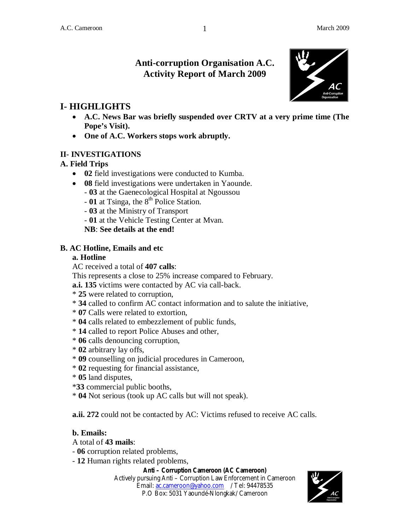# **Anti-corruption Organisation A.C. Activity Report of March 2009**

1



- **A.C. News Bar was briefly suspended over CRTV at a very prime time (The Pope's Visit).**
- **One of A.C. Workers stops work abruptly.**

## **II- INVESTIGATIONS**

## **A. Field Trips**

- **02** field investigations were conducted to Kumba.
- **08** field investigations were undertaken in Yaounde.
	- **03** at the Gaenecological Hospital at Ngoussou
	- $-$  01 at Tsinga, the  $8<sup>th</sup>$  Police Station.
	- **03** at the Ministry of Transport
	- **01** at the Vehicle Testing Center at Mvan.

**NB**: **See details at the end!**

## **B. AC Hotline, Emails and etc**

## **a. Hotline**

AC received a total of **407 calls**:

This represents a close to 25% increase compared to February.

**a.i. 135** victims were contacted by AC via call-back.

- \* **25** were related to corruption,
- \* **34** called to confirm AC contact information and to salute the initiative,
- \* **07** Calls were related to extortion,
- \* **04** calls related to embezzlement of public funds,
- \* **14** called to report Police Abuses and other,
- \* **06** calls denouncing corruption,
- \* **02** arbitrary lay offs,
- \* **09** counselling on judicial procedures in Cameroon,
- \* **02** requesting for financial assistance,
- \* **05** land disputes,
- \***33** commercial public booths,
- \* **04** Not serious (took up AC calls but will not speak).

**a.ii. 272** could not be contacted by AC: Victims refused to receive AC calls.

## **b. Emails:**

- A total of **43 mails**:
- **06** corruption related problems,
- **12** Human rights related problems,

#### **Anti – Corruption Cameroon (AC Cameroon)**

Actively pursuing Anti – Corruption Law Enforcement in Cameroon Email: ac.cameroon@yahoo.com / Tel: 94478535 P.O Box: 5031 Yaoundé-Nlongkak/ Cameroon

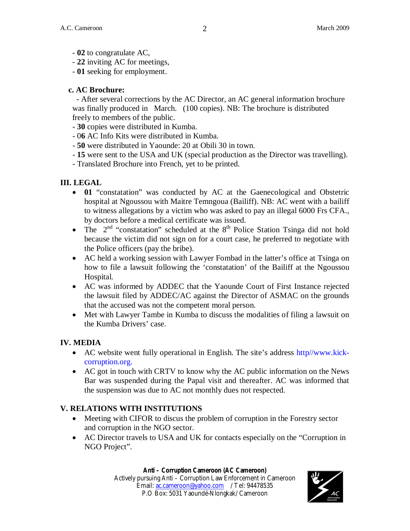- **02** to congratulate AC,
- **22** inviting AC for meetings,
- **01** seeking for employment.

## **c. AC Brochure:**

- After several corrections by the AC Director, an AC general information brochure was finally produced in March. (100 copies). NB: The brochure is distributed freely to members of the public.

- **30** copies were distributed in Kumba.
- 0**6** AC Info Kits were distributed in Kumba.
- **50** were distributed in Yaounde: 20 at Obili 30 in town.
- **15** were sent to the USA and UK (special production as the Director was travelling).
- Translated Brochure into French, yet to be printed.

## **III. LEGAL**

- **01** "constatation" was conducted by AC at the Gaenecological and Obstetric hospital at Ngoussou with Maitre Temngoua (Bailiff). NB: AC went with a bailiff to witness allegations by a victim who was asked to pay an illegal 6000 Frs CFA., by doctors before a medical certificate was issued.
- The  $2<sup>nd</sup>$  "constatation" scheduled at the  $8<sup>th</sup>$  Police Station Tsinga did not hold because the victim did not sign on for a court case, he preferred to negotiate with the Police officers (pay the bribe).
- AC held a working session with Lawyer Fombad in the latter's office at Tsinga on how to file a lawsuit following the 'constatation' of the Bailiff at the Ngoussou Hospital.
- AC was informed by ADDEC that the Yaounde Court of First Instance rejected the lawsuit filed by ADDEC/AC against the Director of ASMAC on the grounds that the accused was not the competent moral person.
- Met with Lawyer Tambe in Kumba to discuss the modalities of filing a lawsuit on the Kumba Drivers' case.

## **IV. MEDIA**

- AC website went fully operational in English. The site's address http//www.kickcorruption.org.
- AC got in touch with CRTV to know why the AC public information on the News Bar was suspended during the Papal visit and thereafter. AC was informed that the suspension was due to AC not monthly dues not respected.

# **V. RELATIONS WITH INSTITUTIONS**

- Meeting with CIFOR to discus the problem of corruption in the Forestry sector and corruption in the NGO sector.
- AC Director travels to USA and UK for contacts especially on the "Corruption in NGO Project".

#### **Anti – Corruption Cameroon (AC Cameroon)**

Actively pursuing Anti – Corruption Law Enforcement in Cameroon Email: ac.cameroon@yahoo.com / Tel: 94478535 P.O Box: 5031 Yaoundé-Nlongkak/ Cameroon

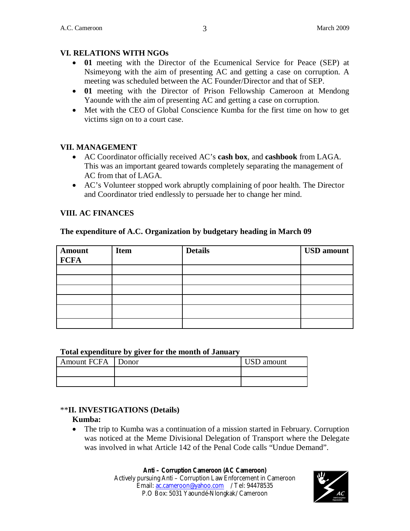## **VI. RELATIONS WITH NGOs**

- **01** meeting with the Director of the Ecumenical Service for Peace (SEP) at Nsimeyong with the aim of presenting AC and getting a case on corruption. A meeting was scheduled between the AC Founder/Director and that of SEP.
- **01** meeting with the Director of Prison Fellowship Cameroon at Mendong Yaounde with the aim of presenting AC and getting a case on corruption.
- Met with the CEO of Global Conscience Kumba for the first time on how to get victims sign on to a court case.

#### **VII. MANAGEMENT**

- AC Coordinator officially received AC's **cash box**, and **cashbook** from LAGA. This was an important geared towards completely separating the management of AC from that of LAGA.
- AC's Volunteer stopped work abruptly complaining of poor health. The Director and Coordinator tried endlessly to persuade her to change her mind.

## **VIII. AC FINANCES**

#### **The expenditure of A.C. Organization by budgetary heading in March 09**

| <b>Amount</b> | <b>Item</b> | <b>Details</b> | <b>USD</b> amount |
|---------------|-------------|----------------|-------------------|
| <b>FCFA</b>   |             |                |                   |
|               |             |                |                   |
|               |             |                |                   |
|               |             |                |                   |
|               |             |                |                   |
|               |             |                |                   |
|               |             |                |                   |

#### **Total expenditure by giver for the month of January**

| Amount FCFA Donor | <b>USD</b> amount |
|-------------------|-------------------|
|                   |                   |
|                   |                   |

#### \*\***II. INVESTIGATIONS (Details)**

#### **Kumba:**

 The trip to Kumba was a continuation of a mission started in February. Corruption was noticed at the Meme Divisional Delegation of Transport where the Delegate was involved in what Article 142 of the Penal Code calls "Undue Demand".

#### **Anti – Corruption Cameroon (AC Cameroon)**

Actively pursuing Anti – Corruption Law Enforcement in Cameroon Email: ac.cameroon@yahoo.com / Tel: 94478535 P.O Box: 5031 Yaoundé-Nlongkak/ Cameroon